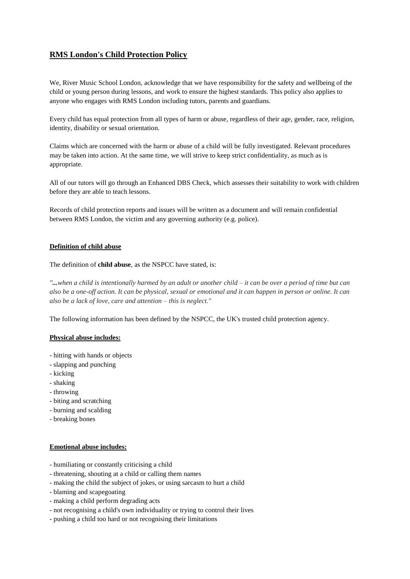# **RMS London's Child Protection Policy**

We, River Music School London, acknowledge that we have responsibility for the safety and wellbeing of the child or young person during lessons, and work to ensure the highest standards. This policy also applies to anyone who engages with RMS London including tutors, parents and guardians.

Every child has equal protection from all types of harm or abuse, regardless of their age, gender, race, religion, identity, disability or sexual orientation.

Claims which are concerned with the harm or abuse of a child will be fully investigated. Relevant procedures may be taken into action. At the same time, we will strive to keep strict confidentiality, as much as is appropriate.

All of our tutors will go through an Enhanced DBS Check, which assesses their suitability to work with children before they are able to teach lessons.

Records of child protection reports and issues will be written as a document and will remain confidential between RMS London, the victim and any governing authority (e.g. police).

# **Definition of child abuse**

The definition of **child abuse**, as the NSPCC have stated, is:

*"...when a child is intentionally harmed by an adult or another child – it can be over a period of time but can also be a one-off action. It can be physical, sexual or emotional and it can happen in person or online. It can also be a lack of love, care and attention – this is neglect."*

The following information has been defined by the NSPCC, the UK's trusted child protection agency.

### **Physical abuse includes:**

- hitting with hands or objects
- slapping and punching
- kicking
- shaking
- throwing
- biting and scratching
- burning and scalding
- breaking bones

#### **Emotional abuse includes:**

- humiliating or constantly criticising a child
- threatening, shouting at a child or calling them names
- making the child the subject of jokes, or using sarcasm to hurt a child
- blaming and scapegoating
- making a child perform degrading acts
- not recognising a child's own individuality or trying to control their lives
- pushing a child too hard or not recognising their limitations